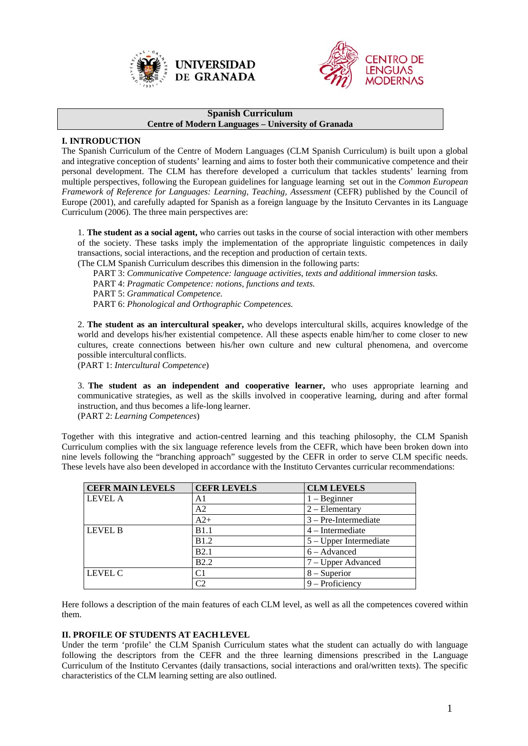



### **Spanish Curriculum Centre of Modern Languages – University of Granada**

# **I. INTRODUCTION**

The Spanish Curriculum of the Centre of Modern Languages (CLM Spanish Curriculum) is built upon a global and integrative conception of students' learning and aims to foster both their communicative competence and their personal development. The CLM has therefore developed a curriculum that tackles students' learning from multiple perspectives, following the European guidelines for language learning set out in the *Common European Framework of Reference for Languages: Learning, Teaching, Assessment (CEFR)* published by the Council of Europe (2001), and carefully adapted for Spanish as a foreign language by the Insituto Cervantes in its Language Curriculum (2006). The three main perspectives are:

1. **The student as a social agent,** who carries out tasks in the course of social interaction with other members of the society. These tasks imply the implementation of the appropriate linguistic competences in daily transactions, social interactions, and the reception and production of certain texts.

(The CLM Spanish Curriculum describes this dimension in the following parts:

PART 3: *Communicative Competence: language activities, texts and additional immersion tasks.* 

PART 4: *Pragmatic Competence: notions, functions and texts.* 

PART 5: *Grammatical Competence.* 

PART 6: *Phonological and Orthographic Competences.* 

2. **The student as an intercultural speaker,** who develops intercultural skills, acquires knowledge of the world and develops his/her existential competence. All these aspects enable him/her to come closer to new cultures, create connections between his/her own culture and new cultural phenomena, and overcome possible intercultural conflicts.

(PART 1: *Intercultural Competence*)

3. **The student as an independent and cooperative learner,** who uses appropriate learning and communicative strategies, as well as the skills involved in cooperative learning, during and after formal instruction, and thus becomes a life-long learner.

(PART 2: *Learning Competences*)

Together with this integrative and action-centred learning and this teaching philosophy, the CLM Spanish Curriculum complies with the six language reference levels from the CEFR, which have been broken down into nine levels following the "branching approach" suggested by the CEFR in order to serve CLM specific needs. These levels have also been developed in accordance with the Instituto Cervantes curricular recommendations:

| <b>CEFR MAIN LEVELS</b> | <b>CEFR LEVELS</b> | <b>CLM LEVELS</b>        |
|-------------------------|--------------------|--------------------------|
| <b>LEVEL A</b>          | A1                 | $1 -$ Beginner           |
|                         | A <sub>2</sub>     | $2 - Elementary$         |
|                         | $A2+$              | $3 - Pre-Intermediate$   |
| LEVEL B                 | B1.1               | $4$ – Intermediate       |
|                         | <b>B1.2</b>        | $5 - Upper$ Intermediate |
|                         | <b>B2.1</b>        | $6 - Advanced$           |
|                         | <b>B2.2</b>        | 7 – Upper Advanced       |
| LEVEL C                 | C1                 | $8 -$ Superior           |
|                         | C <sub>2</sub>     | $9 -$ Proficiency        |

Here follows a description of the main features of each CLM level, as well as all the competences covered within them.

# **II. PROFILE OF STUDENTS AT EACH LEVEL**

Under the term 'profile' the CLM Spanish Curriculum states what the student can actually do with language following the descriptors from the CEFR and the three learning dimensions prescribed in the Language Curriculum of the Instituto Cervantes (daily transactions, social interactions and oral/written texts). The specific characteristics of the CLM learning setting are also outlined.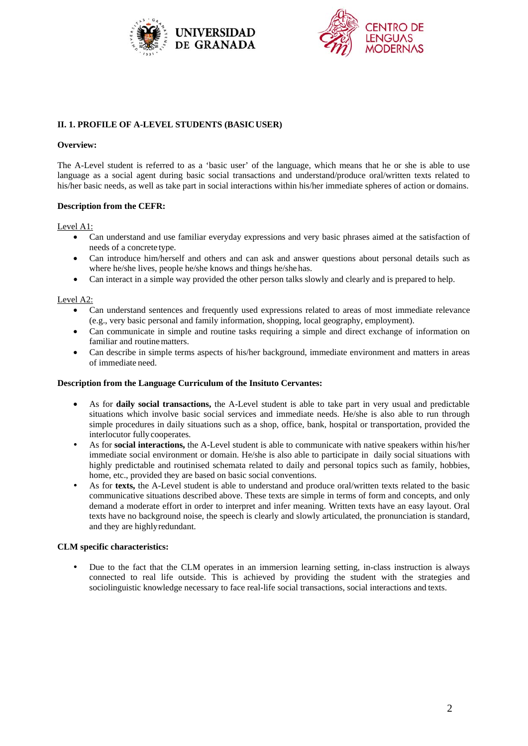



# **II. 1. PROFILE OF A-LEVEL STUDENTS (BASIC USER)**

### **Overview:**

The A-Level student is referred to as a 'basic user' of the language, which means that he or she is able to use language as a social agent during basic social transactions and understand/produce oral/written texts related to his/her basic needs, as well as take part in social interactions within his/her immediate spheres of action or domains.

## **Description from the CEFR:**

### Level A1:

- Can understand and use familiar everyday expressions and very basic phrases aimed at the satisfaction of needs of a concrete type.
- Can introduce him/herself and others and can ask and answer questions about personal details such as where he/she lives, people he/she knows and things he/she has.
- Can interact in a simple way provided the other person talks slowly and clearly and is prepared to help.

### Level A2:

- Can understand sentences and frequently used expressions related to areas of most immediate relevance (e.g., very basic personal and family information, shopping, local geography, employment).
- Can communicate in simple and routine tasks requiring a simple and direct exchange of information on familiar and routine matters.
- Can describe in simple terms aspects of his/her background, immediate environment and matters in areas of immediate need.

### **Description from the Language Curriculum of the Insituto Cervantes:**

- As for **daily social transactions,** the A-Level student is able to take part in very usual and predictable situations which involve basic social services and immediate needs. He/she is also able to run through simple procedures in daily situations such as a shop, office, bank, hospital or transportation, provided the interlocutor fully cooperates.
- As for **social interactions,** the A-Level student is able to communicate with native speakers within his/her immediate social environment or domain. He/she is also able to participate in daily social situations with highly predictable and routinised schemata related to daily and personal topics such as family, hobbies, home, etc., provided they are based on basic social conventions.
- As for **texts,** the A-Level student is able to understand and produce oral/written texts related to the basic communicative situations described above. These texts are simple in terms of form and concepts, and only demand a moderate effort in order to interpret and infer meaning. Written texts have an easy layout. Oral texts have no background noise, the speech is clearly and slowly articulated, the pronunciation is standard, and they are highly redundant.

### **CLM specific characteristics:**

 Due to the fact that the CLM operates in an immersion learning setting, in-class instruction is always connected to real life outside. This is achieved by providing the student with the strategies and sociolinguistic knowledge necessary to face real-life social transactions, social interactions and texts.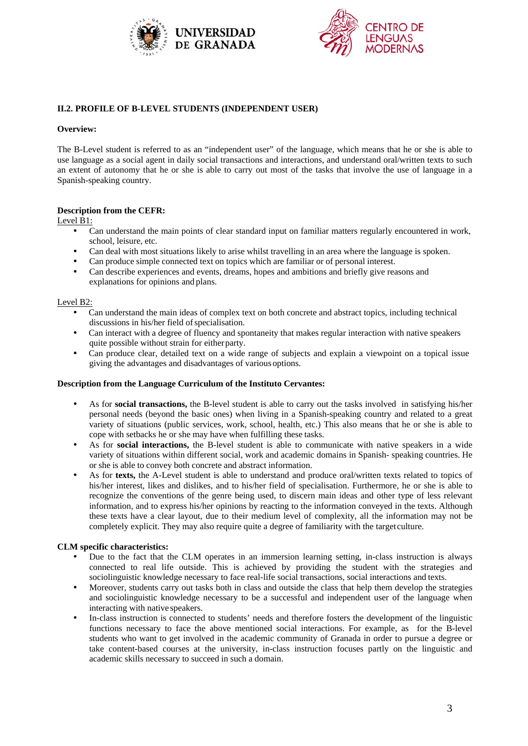



# **II.2. PROFILE OF B-LEVEL STUDENTS (INDEPENDENT USER)**

### **Overview:**

The B-Level student is referred to as an "independent user" of the language, which means that he or she is able to use language as a social agent in daily social transactions and interactions, and understand oral/written texts to such an extent of autonomy that he or she is able to carry out most of the tasks that involve the use of language in a Spanish-speaking country.

## **Description from the CEFR:**

Level B1:

- Can understand the main points of clear standard input on familiar matters regularly encountered in work, school, leisure, etc.
- Can deal with most situations likely to arise whilst travelling in an area where the language is spoken.
- Can produce simple connected text on topics which are familiar or of personal interest.
- Can describe experiences and events, dreams, hopes and ambitions and briefly give reasons and explanations for opinions and plans.

### Level B2:

- Can understand the main ideas of complex text on both concrete and abstract topics, including technical discussions in his/her field of specialisation.
- Can interact with a degree of fluency and spontaneity that makes regular interaction with native speakers quite possible without strain for either party.
- Can produce clear, detailed text on a wide range of subjects and explain a viewpoint on a topical issue giving the advantages and disadvantages of various options.

### **Description from the Language Curriculum of the Instituto Cervantes:**

- As for **social transactions,** the B-level student is able to carry out the tasks involved in satisfying his/her personal needs (beyond the basic ones) when living in a Spanish-speaking country and related to a great variety of situations (public services, work, school, health, etc.) This also means that he or she is able to cope with setbacks he or she may have when fulfilling these tasks.
- As for **social interactions,** the B-level student is able to communicate with native speakers in a wide variety of situations within different social, work and academic domains in Spanish- speaking countries. He or she is able to convey both concrete and abstract information.
- As for **texts,** the A-Level student is able to understand and produce oral/written texts related to topics of his/her interest, likes and dislikes, and to his/her field of specialisation. Furthermore, he or she is able to recognize the conventions of the genre being used, to discern main ideas and other type of less relevant information, and to express his/her opinions by reacting to the information conveyed in the texts. Although these texts have a clear layout, due to their medium level of complexity, all the information may not be completely explicit. They may also require quite a degree of familiarity with the target culture.

## **CLM specific characteristics:**

- Due to the fact that the CLM operates in an immersion learning setting, in-class instruction is always connected to real life outside. This is achieved by providing the student with the strategies and sociolinguistic knowledge necessary to face real-life social transactions, social interactions and texts.
- Moreover, students carry out tasks both in class and outside the class that help them develop the strategies and sociolinguistic knowledge necessary to be a successful and independent user of the language when interacting with native speakers.
- In-class instruction is connected to students' needs and therefore fosters the development of the linguistic functions necessary to face the above mentioned social interactions. For example, as for the B-level students who want to get involved in the academic community of Granada in order to pursue a degree or take content-based courses at the university, in-class instruction focuses partly on the linguistic and academic skills necessary to succeed in such a domain.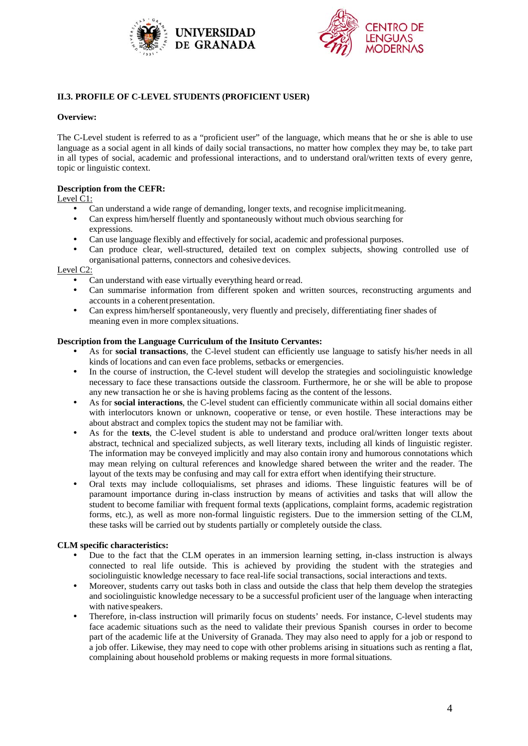



# **II.3. PROFILE OF C-LEVEL STUDENTS (PROFICIENT USER)**

# **Overview:**

The C-Level student is referred to as a "proficient user" of the language, which means that he or she is able to use language as a social agent in all kinds of daily social transactions, no matter how complex they may be, to take part in all types of social, academic and professional interactions, and to understand oral/written texts of every genre, topic or linguistic context.

# **Description from the CEFR:**

Level C1:

- Can understand a wide range of demanding, longer texts, and recognise implicit meaning.
- Can express him/herself fluently and spontaneously without much obvious searching for expressions.
- Can use language flexibly and effectively for social, academic and professional purposes.
- Can produce clear, well-structured, detailed text on complex subjects, showing controlled use of organisational patterns, connectors and cohesive devices.

## Level C2:

- Can understand with ease virtually everything heard or read.
- Can summarise information from different spoken and written sources, reconstructing arguments and accounts in a coherent presentation.
- Can express him/herself spontaneously, very fluently and precisely, differentiating finer shades of meaning even in more complex situations.

## **Description from the Language Curriculum of the Insituto Cervantes:**

- As for **social transactions**, the C-level student can efficiently use language to satisfy his/her needs in all kinds of locations and can even face problems, setbacks or emergencies.
- In the course of instruction, the C-level student will develop the strategies and sociolinguistic knowledge necessary to face these transactions outside the classroom. Furthermore, he or she will be able to propose any new transaction he or she is having problems facing as the content of the lessons.
- As for **social interactions**, the C-level student can efficiently communicate within all social domains either with interlocutors known or unknown, cooperative or tense, or even hostile. These interactions may be about abstract and complex topics the student may not be familiar with.
- As for the **texts**, the C-level student is able to understand and produce oral/written longer texts about abstract, technical and specialized subjects, as well literary texts, including all kinds of linguistic register. The information may be conveyed implicitly and may also contain irony and humorous connotations which may mean relying on cultural references and knowledge shared between the writer and the reader. The layout of the texts may be confusing and may call for extra effort when identifying their structure.
- Oral texts may include colloquialisms, set phrases and idioms. These linguistic features will be of paramount importance during in-class instruction by means of activities and tasks that will allow the student to become familiar with frequent formal texts (applications, complaint forms, academic registration forms, etc.), as well as more non-formal linguistic registers. Due to the immersion setting of the CLM, these tasks will be carried out by students partially or completely outside the class.

## **CLM specific characteristics:**

- Due to the fact that the CLM operates in an immersion learning setting, in-class instruction is always connected to real life outside. This is achieved by providing the student with the strategies and sociolinguistic knowledge necessary to face real-life social transactions, social interactions and texts.
- Moreover, students carry out tasks both in class and outside the class that help them develop the strategies and sociolinguistic knowledge necessary to be a successful proficient user of the language when interacting with native speakers.
- Therefore, in-class instruction will primarily focus on students' needs. For instance, C-level students may face academic situations such as the need to validate their previous Spanish courses in order to become part of the academic life at the University of Granada. They may also need to apply for a job or respond to a job offer. Likewise, they may need to cope with other problems arising in situations such as renting a flat, complaining about household problems or making requests in more formal situations.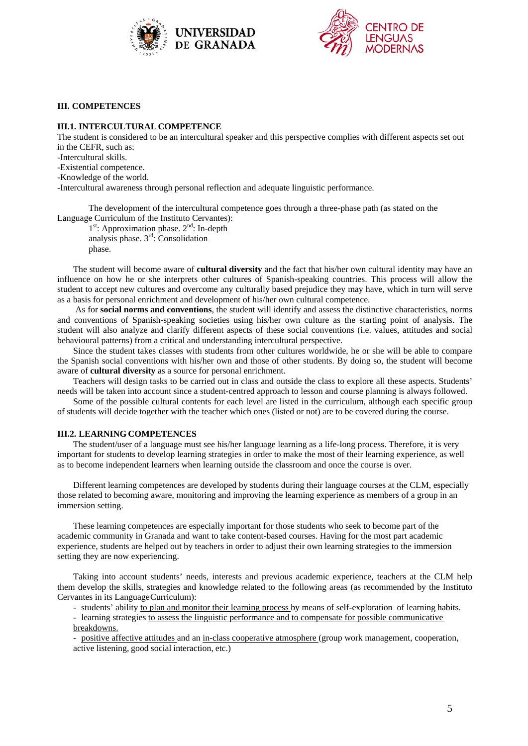



## **III. COMPETENCES**

### **III.1. INTERCULTURAL COMPETENCE**

The student is considered to be an intercultural speaker and this perspective complies with different aspects set out in the CEFR, such as:

- -Intercultural skills.
- -Existential competence.
- -Knowledge of the world.

-Intercultural awareness through personal reflection and adequate linguistic performance.

The development of the intercultural competence goes through a three-phase path (as stated on the Language Curriculum of the Instituto Cervantes):

 $1<sup>st</sup>$ : Approximation phase.  $2<sup>nd</sup>$ : In-depth analysis phase.  $3<sup>rd</sup>$ : Consolidation phase.

The student will become aware of **cultural diversity** and the fact that his/her own cultural identity may have an influence on how he or she interprets other cultures of Spanish-speaking countries. This process will allow the student to accept new cultures and overcome any culturally based prejudice they may have, which in turn will serve as a basis for personal enrichment and development of his/her own cultural competence.

As for **social norms and conventions**, the student will identify and assess the distinctive characteristics, norms and conventions of Spanish-speaking societies using his/her own culture as the starting point of analysis. The student will also analyze and clarify different aspects of these social conventions (i.e. values, attitudes and social behavioural patterns) from a critical and understanding intercultural perspective.

Since the student takes classes with students from other cultures worldwide, he or she will be able to compare the Spanish social conventions with his/her own and those of other students. By doing so, the student will become aware of **cultural diversity** as a source for personal enrichment.

Teachers will design tasks to be carried out in class and outside the class to explore all these aspects. Students' needs will be taken into account since a student-centred approach to lesson and course planning is always followed.

Some of the possible cultural contents for each level are listed in the curriculum, although each specific group of students will decide together with the teacher which ones (listed or not) are to be covered during the course.

## **III.2. LEARNING COMPETENCES**

The student/user of a language must see his/her language learning as a life-long process. Therefore, it is very important for students to develop learning strategies in order to make the most of their learning experience, as well as to become independent learners when learning outside the classroom and once the course is over.

Different learning competences are developed by students during their language courses at the CLM, especially those related to becoming aware, monitoring and improving the learning experience as members of a group in an immersion setting.

These learning competences are especially important for those students who seek to become part of the academic community in Granada and want to take content-based courses. Having for the most part academic experience, students are helped out by teachers in order to adjust their own learning strategies to the immersion setting they are now experiencing.

Taking into account students' needs, interests and previous academic experience, teachers at the CLM help them develop the skills, strategies and knowledge related to the following areas (as recommended by the Instituto Cervantes in its Language Curriculum):

- students' ability to plan and monitor their learning process by means of self-exploration of learning habits.

- learning strategies to assess the linguistic performance and to compensate for possible communicative breakdowns.

- positive affective attitudes and an in-class cooperative atmosphere (group work management, cooperation, active listening, good social interaction, etc.)